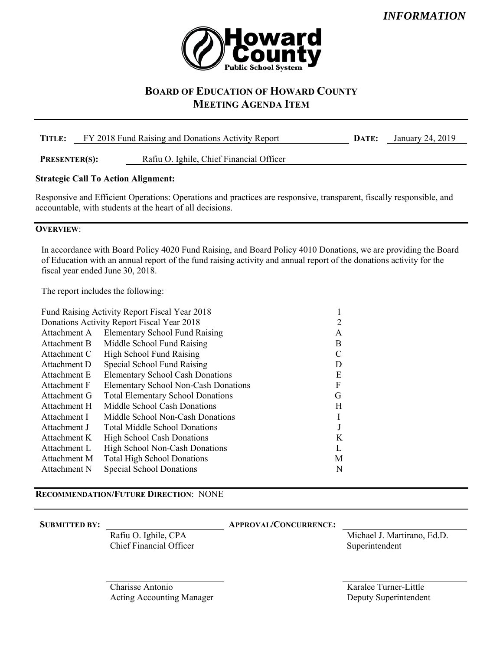

# **BOARD OF EDUCATION OF HOWARD COUNTY MEETING AGENDA ITEM**

| TITLE:               | FY 2018 Fund Raising and Donations Activity Report | DATE:                                    | January 24, 2019 |  |
|----------------------|----------------------------------------------------|------------------------------------------|------------------|--|
| <b>PRESENTER(S):</b> |                                                    | Rafiu O. Ighile, Chief Financial Officer |                  |  |
|                      | <b>Strategic Call To Action Alignment:</b>         |                                          |                  |  |

Responsive and Efficient Operations: Operations and practices are responsive, transparent, fiscally responsible, and accountable, with students at the heart of all decisions.

### **OVERVIEW**:

In accordance with Board Policy 4020 Fund Raising, and Board Policy 4010 Donations, we are providing the Board of Education with an annual report of the fund raising activity and annual report of the donations activity for the fiscal year ended June 30, 2018.

The report includes the following:

| Fund Raising Activity Report Fiscal Year 2018 |   |
|-----------------------------------------------|---|
| Donations Activity Report Fiscal Year 2018    |   |
| <b>Elementary School Fund Raising</b>         | A |
| Middle School Fund Raising                    | B |
| High School Fund Raising                      |   |
| Special School Fund Raising                   | D |
| <b>Elementary School Cash Donations</b>       | E |
| <b>Elementary School Non-Cash Donations</b>   | F |
| <b>Total Elementary School Donations</b>      | G |
| Middle School Cash Donations                  | H |
| Middle School Non-Cash Donations              |   |
| <b>Total Middle School Donations</b>          |   |
| <b>High School Cash Donations</b>             | K |
| <b>High School Non-Cash Donations</b>         |   |
| <b>Total High School Donations</b>            | M |
| Special School Donations                      | N |
|                                               |   |

### **RECOMMENDATION/FUTURE DIRECTION**: NONE

#### **SUBMITTED BY: APPROVAL/CONCURRENCE:**

 Rafiu O. Ighile, CPA Chief Financial Officer  Michael J. Martirano, Ed.D. Superintendent

Charisse Antonio Acting Accounting Manager  Karalee Turner-Little Deputy Superintendent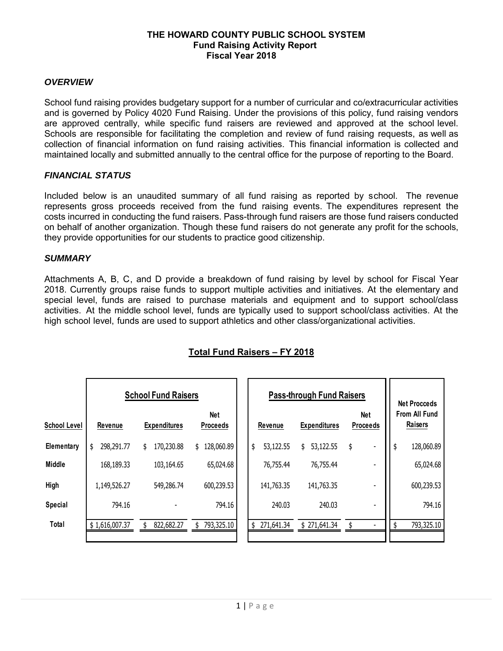### **THE HOWARD COUNTY PUBLIC SCHOOL SYSTEM Fund Raising Activity Report Fiscal Year 2018**

### *OVERVIEW*

School fund raising provides budgetary support for a number of curricular and co/extracurricular activities and is governed by Policy 4020 Fund Raising. Under the provisions of this policy, fund raising vendors are approved centrally, while specific fund raisers are reviewed and approved at the school level. Schools are responsible for facilitating the completion and review of fund raising requests, as well as collection of financial information on fund raising activities. This financial information is collected and maintained locally and submitted annually to the central office for the purpose of reporting to the Board.

### *FINANCIAL STATUS*

Included below is an unaudited summary of all fund raising as reported by school. The revenue represents gross proceeds received from the fund raising events. The expenditures represent the costs incurred in conducting the fund raisers. Pass-through fund raisers are those fund raisers conducted on behalf of another organization. Though these fund raisers do not generate any profit for the schools, they provide opportunities for our students to practice good citizenship.

#### *SUMMARY*

Attachments A, B, C, and D provide a breakdown of fund raising by level by school for Fiscal Year 2018. Currently groups raise funds to support multiple activities and initiatives. At the elementary and special level, funds are raised to purchase materials and equipment and to support school/class activities. At the middle school level, funds are typically used to support school/class activities. At the high school level, funds are used to support athletics and other class/organizational activities.

|                     |                  | <b>School Fund Raisers</b> |                        |                  | <b>Pass-through Fund Raisers</b> |                        | <b>Net Procceds</b>      |
|---------------------|------------------|----------------------------|------------------------|------------------|----------------------------------|------------------------|--------------------------|
| <b>School Level</b> | Revenue          | <b>Expenditures</b>        | Net<br><b>Proceeds</b> | Revenue          | <b>Expenditures</b>              | Net<br><b>Proceeds</b> | From All Fund<br>Raisers |
| Elementary          | \$<br>298,291.77 | 170,230.88<br>\$           | 28,060.89<br>\$        | \$<br>53,122.55  | 53,122.55<br>\$                  | \$                     | \$<br>128,060.89         |
| <b>Middle</b>       | 168,189.33       | 103,164.65                 | 65,024.68              | 76,755.44        | 76,755.44                        | $\blacksquare$         | 65,024.68                |
| High                | 1,149,526.27     | 549,286.74                 | 600,239.53             | 141,763.35       | 141,763.35                       | $\overline{a}$         | 600,239.53               |
| Special             | 794.16           |                            | 794.16                 | 240.03           | 240.03                           | $\blacksquare$         | 794.16                   |
| Total               | \$1,616,007.37   | 822,682.27                 | 793,325.10             | 271,641.34<br>\$ | \$271,641.34                     | $\blacksquare$         | 793,325.10               |

## **Total Fund Raisers – FY 2018**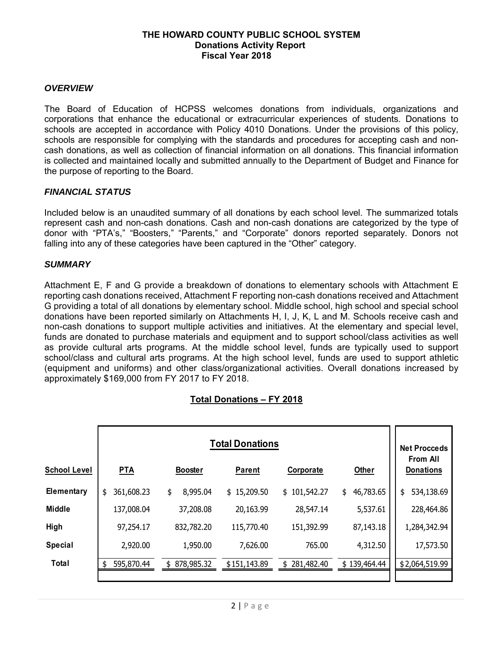### **THE HOWARD COUNTY PUBLIC SCHOOL SYSTEM Donations Activity Report Fiscal Year 2018**

### *OVERVIEW*

The Board of Education of HCPSS welcomes donations from individuals, organizations and corporations that enhance the educational or extracurricular experiences of students. Donations to schools are accepted in accordance with Policy 4010 Donations. Under the provisions of this policy, schools are responsible for complying with the standards and procedures for accepting cash and noncash donations, as well as collection of financial information on all donations. This financial information is collected and maintained locally and submitted annually to the Department of Budget and Finance for the purpose of reporting to the Board.

#### *FINANCIAL STATUS*

Included below is an unaudited summary of all donations by each school level. The summarized totals represent cash and non-cash donations. Cash and non-cash donations are categorized by the type of donor with "PTA's," "Boosters," "Parents," and "Corporate" donors reported separately. Donors not falling into any of these categories have been captured in the "Other" category.

#### *SUMMARY*

Attachment E, F and G provide a breakdown of donations to elementary schools with Attachment E reporting cash donations received, Attachment F reporting non-cash donations received and Attachment G providing a total of all donations by elementary school. Middle school, high school and special school donations have been reported similarly on Attachments H, I, J, K, L and M. Schools receive cash and non-cash donations to support multiple activities and initiatives. At the elementary and special level, funds are donated to purchase materials and equipment and to support school/class activities as well as provide cultural arts programs. At the middle school level, funds are typically used to support school/class and cultural arts programs. At the high school level, funds are used to support athletic (equipment and uniforms) and other class/organizational activities. Overall donations increased by approximately \$169,000 from FY 2017 to FY 2018.

### **Total Donations – FY 2018**

|                     |                  |                  | <b>Total Donations</b> |                  |                 | <b>Net Procceds</b>                 |
|---------------------|------------------|------------------|------------------------|------------------|-----------------|-------------------------------------|
| <b>School Level</b> | <b>PTA</b>       | <b>Booster</b>   | <b>Parent</b>          | Corporate        | <b>Other</b>    | <b>From All</b><br><b>Donations</b> |
| Elementary          | 361,608.23<br>\$ | \$<br>8,995.04   | \$15,209.50            | \$101,542.27     | 46,783.65<br>\$ | 534,138.69<br>\$                    |
| <b>Middle</b>       | 137,008.04       | 37,208.08        | 20,163.99              | 28,547.14        | 5,537.61        | 228,464.86                          |
| High                | 97,254.17        | 832,782.20       | 115,770.40             | 151,392.99       | 87,143.18       | 1,284,342.94                        |
| <b>Special</b>      | 2,920.00         | 1,950.00         | 7,626.00               | 765.00           | 4,312.50        | 17,573.50                           |
| <b>Total</b>        | 595,870.44       | 878,985.32<br>\$ | \$151,143.89           | 281,482.40<br>\$ | \$139,464.44    | \$2,064,519.99                      |
|                     |                  |                  |                        |                  |                 |                                     |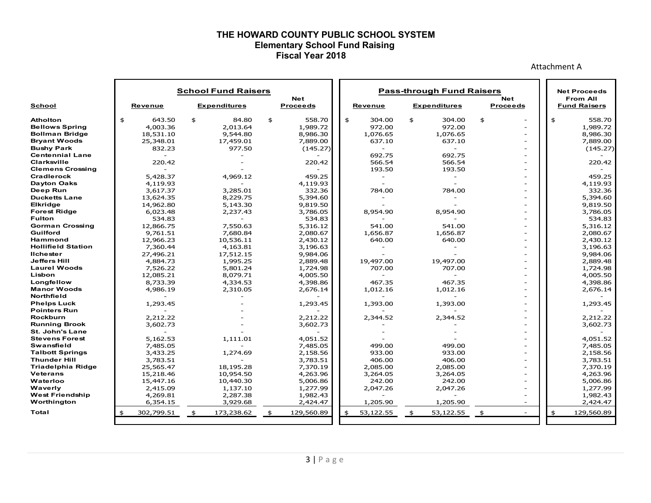#### **THE HOWARD COUNTY PUBLIC SCHOOL SYSTEM Elementary School Fund Raising Fiscal Year 2018**

Attachment A

|                           | <b>School Fund Raisers</b> |                |    |                     |    |                               | <b>Pass-through Fund Raisers</b> |             |                          |    |                     |                    |                               |  |                                        |            |
|---------------------------|----------------------------|----------------|----|---------------------|----|-------------------------------|----------------------------------|-------------|--------------------------|----|---------------------|--------------------|-------------------------------|--|----------------------------------------|------------|
|                           |                            |                |    |                     |    |                               |                                  |             |                          |    |                     |                    |                               |  | <b>Net Proceeds</b>                    |            |
| <b>School</b>             |                            | <b>Revenue</b> |    | <b>Expenditures</b> |    | <b>Net</b><br><b>Proceeds</b> |                                  |             | <b>Revenue</b>           |    | <b>Expenditures</b> |                    | <b>Net</b><br><b>Proceeds</b> |  | <b>From All</b><br><b>Fund Raisers</b> |            |
| <b>Atholton</b>           | \$                         | 643.50         | \$ | 84.80               | \$ | 558.70                        |                                  | \$          | 304.00                   | \$ | 304.00              | \$                 | $\overline{a}$                |  | $\frac{4}{5}$                          | 558.70     |
| <b>Bellows Spring</b>     |                            | 4,003.36       |    | 2.013.64            |    | 1,989.72                      |                                  |             | 972.00                   |    | 972.00              |                    |                               |  |                                        | 1,989.72   |
| <b>Bollman Bridge</b>     |                            | 18,531.10      |    | 9,544.80            |    | 8,986.30                      |                                  |             | 1,076.65                 |    | 1,076.65            |                    |                               |  |                                        | 8,986.30   |
| <b>Bryant Woods</b>       |                            | 25,348.01      |    | 17,459.01           |    | 7,889.00                      |                                  |             | 637.10                   |    | 637.10              |                    | $\overline{\phantom{a}}$      |  |                                        | 7,889.00   |
| <b>Bushy Park</b>         |                            | 832.23         |    | 977.50              |    | (145.27)                      |                                  |             |                          |    |                     |                    |                               |  |                                        | (145.27)   |
| <b>Centennial Lane</b>    |                            |                |    |                     |    |                               |                                  |             | 692.75                   |    | 692.75              |                    |                               |  |                                        |            |
| Clarksville               |                            | 220.42         |    |                     |    | 220.42                        |                                  |             | 566.54                   |    | 566.54              |                    |                               |  |                                        | 220.42     |
| <b>Clemens Crossing</b>   |                            |                |    |                     |    |                               |                                  |             | 193.50                   |    | 193.50              |                    |                               |  |                                        |            |
| Cradlerock                |                            | 5,428.37       |    | 4,969.12            |    | 459.25                        |                                  |             | $\overline{\phantom{a}}$ |    |                     |                    |                               |  |                                        | 459.25     |
| <b>Dayton Oaks</b>        |                            | 4,119.93       |    |                     |    | 4,119.93                      |                                  |             |                          |    |                     |                    |                               |  |                                        | 4,119.93   |
| Deep Run                  |                            | 3,617.37       |    | 3,285.01            |    | 332.36                        |                                  |             | 784.00                   |    | 784.00              |                    |                               |  |                                        | 332.36     |
| <b>Ducketts Lane</b>      |                            | 13,624.35      |    | 8,229.75            |    | 5,394.60                      |                                  |             |                          |    |                     |                    |                               |  |                                        | 5,394.60   |
| Elkridge                  |                            | 14,962.80      |    | 5,143.30            |    | 9,819.50                      |                                  |             |                          |    |                     |                    |                               |  |                                        | 9,819.50   |
| <b>Forest Ridge</b>       |                            | 6,023.48       |    | 2,237.43            |    | 3,786.05                      |                                  |             | 8,954.90                 |    | 8,954.90            |                    |                               |  |                                        | 3,786.05   |
| <b>Fulton</b>             |                            | 534.83         |    |                     |    | 534.83                        |                                  |             |                          |    |                     |                    |                               |  |                                        | 534.83     |
| <b>Gorman Crossing</b>    |                            | 12,866.75      |    | 7,550.63            |    | 5,316.12                      |                                  |             | 541.00                   |    | 541.00              |                    |                               |  |                                        | 5,316.12   |
| Guilford                  |                            | 9,761.51       |    | 7,680.84            |    | 2,080.67                      |                                  |             | 1,656.87                 |    | 1,656.87            |                    |                               |  |                                        | 2,080.67   |
| Hammond                   |                            | 12,966.23      |    | 10,536.11           |    | 2,430.12                      |                                  |             | 640.00                   |    | 640.00              |                    | $\overline{a}$                |  |                                        | 2,430.12   |
| <b>Hollifield Station</b> |                            | 7,360.44       |    | 4,163.81            |    | 3,196.63                      |                                  |             |                          |    |                     |                    |                               |  |                                        | 3,196.63   |
| <b>Ilchester</b>          |                            | 27,496.21      |    | 17,512.15           |    | 9,984.06                      |                                  |             |                          |    |                     |                    |                               |  |                                        | 9,984.06   |
| <b>Jeffers Hill</b>       |                            | 4,884.73       |    | 1,995.25            |    | 2,889.48                      |                                  |             | 19,497.00                |    | 19,497.00           |                    |                               |  |                                        | 2,889.48   |
| <b>Laurel Woods</b>       |                            | 7,526.22       |    | 5,801.24            |    | 1,724.98                      |                                  |             | 707.00                   |    | 707.00              |                    |                               |  |                                        | 1,724.98   |
| Lisbon                    |                            | 12,085.21      |    | 8,079.71            |    | 4,005.50                      |                                  |             |                          |    |                     |                    |                               |  |                                        | 4,005.50   |
| Longfellow                |                            | 8,733.39       |    | 4,334.53            |    | 4,398.86                      |                                  |             | 467.35                   |    | 467.35              |                    |                               |  |                                        | 4,398.86   |
| <b>Manor Woods</b>        |                            | 4,986.19       |    | 2,310.05            |    | 2,676.14                      |                                  |             | 1,012.16                 |    | 1,012.16            |                    | $\overline{a}$                |  |                                        | 2,676.14   |
| <b>Northfield</b>         |                            |                |    |                     |    |                               |                                  |             |                          |    |                     |                    |                               |  |                                        |            |
| <b>Phelps Luck</b>        |                            | 1,293.45       |    |                     |    | 1,293.45                      |                                  |             | 1,393.00                 |    | 1,393.00            |                    |                               |  |                                        | 1,293.45   |
| <b>Pointers Run</b>       |                            |                |    |                     |    |                               |                                  |             |                          |    |                     |                    |                               |  |                                        |            |
| <b>Rockburn</b>           |                            | 2,212.22       |    |                     |    | 2,212.22                      |                                  |             | 2,344.52                 |    | 2,344.52            |                    |                               |  |                                        | 2,212.22   |
| <b>Running Brook</b>      |                            | 3,602.73       |    |                     |    | 3,602.73                      |                                  |             |                          |    |                     |                    |                               |  |                                        | 3,602.73   |
| <b>St. John's Lane</b>    |                            |                |    |                     |    |                               |                                  |             |                          |    |                     |                    |                               |  |                                        |            |
| <b>Stevens Forest</b>     |                            | 5,162.53       |    | 1,111.01            |    | 4.051.52                      |                                  |             |                          |    |                     |                    |                               |  |                                        | 4,051.52   |
| <b>Swansfield</b>         |                            | 7,485.05       |    |                     |    | 7,485.05                      |                                  |             | 499.00                   |    | 499.00              |                    |                               |  |                                        | 7,485.05   |
| <b>Talbott Springs</b>    |                            | 3,433.25       |    | 1,274.69            |    | 2,158.56                      |                                  |             | 933.00                   |    | 933.00              |                    |                               |  |                                        | 2,158.56   |
| <b>Thunder Hill</b>       |                            | 3,783.51       |    |                     |    | 3,783.51                      |                                  |             | 406.00                   |    | 406.00              |                    |                               |  |                                        | 3,783.51   |
| <b>Triadelphia Ridge</b>  |                            | 25,565.47      |    | 18,195.28           |    | 7,370.19                      |                                  |             | 2,085.00                 |    | 2,085.00            |                    |                               |  |                                        | 7,370.19   |
| Veterans                  |                            | 15,218.46      |    | 10,954.50           |    | 4,263.96                      |                                  |             | 3,264.05                 |    | 3,264.05            |                    |                               |  |                                        | 4,263.96   |
| Waterloo                  |                            | 15,447.16      |    | 10,440.30           |    | 5,006.86                      |                                  |             | 242.00                   |    | 242.00              |                    |                               |  |                                        | 5,006.86   |
| Waverly                   |                            | 2,415.09       |    | 1,137.10            |    | 1,277.99                      |                                  |             | 2,047.26                 |    | 2,047.26            |                    | $\overline{a}$                |  |                                        | 1,277.99   |
| <b>West Friendship</b>    |                            | 4,269.81       |    | 2,287.38            |    | 1,982.43                      |                                  |             |                          |    |                     |                    | $\overline{\phantom{0}}$      |  |                                        | 1,982.43   |
| Worthington               |                            | 6,354.15       |    | 3,929.68            |    | 2,424.47                      |                                  |             | 1,205.90                 |    | 1,205.90            |                    |                               |  |                                        | 2,424.47   |
| Total                     | \$                         | 302,799.51     | \$ | 173,238.62          | \$ | 129,560.89                    |                                  | $$^{\circ}$ | 53,122.55                | \$ | 53,122.55           | $\mathbf{\hat{z}}$ | $\overline{\phantom{a}}$      |  | \$                                     | 129,560.89 |
|                           |                            |                |    |                     |    |                               |                                  |             |                          |    |                     |                    |                               |  |                                        |            |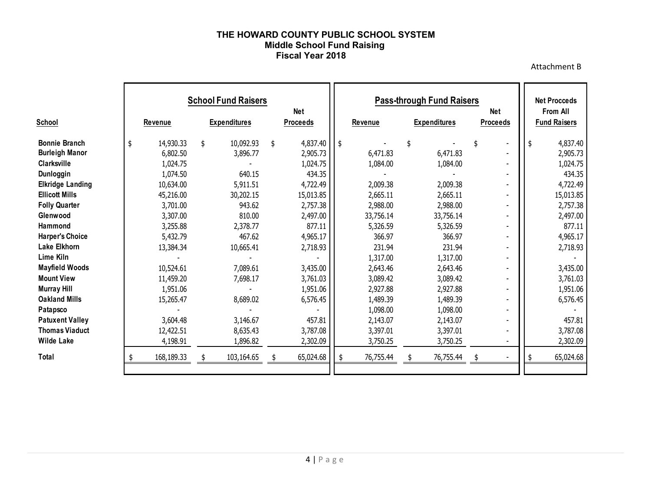#### **THE HOWARD COUNTY PUBLIC SCHOOL SYSTEM Middle School Fund Raising Fiscal Year 2018**

Attachment B

|                         |                 | <b>School Fund Raisers</b> | <b>Net</b>      | <b>Pass-through Fund Raisers</b><br><b>Net</b> |           |    |                     |    |                 |     | <b>Net Procceds</b><br><b>From All</b> |
|-------------------------|-----------------|----------------------------|-----------------|------------------------------------------------|-----------|----|---------------------|----|-----------------|-----|----------------------------------------|
| School                  | <b>Revenue</b>  | <b>Expenditures</b>        | <b>Proceeds</b> |                                                | Revenue   |    | <b>Expenditures</b> |    | <b>Proceeds</b> |     | <b>Fund Raisers</b>                    |
| <b>Bonnie Branch</b>    | \$<br>14,930.33 | \$<br>10,092.93            | \$<br>4,837.40  | \$                                             |           | \$ |                     | \$ |                 | -\$ | 4,837.40                               |
| <b>Burleigh Manor</b>   | 6,802.50        | 3,896.77                   | 2,905.73        |                                                | 6,471.83  |    | 6,471.83            |    |                 |     | 2,905.73                               |
| Clarksville             | 1,024.75        |                            | 1,024.75        |                                                | 1,084.00  |    | 1,084.00            |    |                 |     | 1,024.75                               |
| Dunloggin               | 1,074.50        | 640.15                     | 434.35          |                                                |           |    |                     |    |                 |     | 434.35                                 |
| <b>Elkridge Landing</b> | 10,634.00       | 5,911.51                   | 4,722.49        |                                                | 2,009.38  |    | 2,009.38            |    |                 |     | 4,722.49                               |
| <b>Ellicott Mills</b>   | 45,216.00       | 30,202.15                  | 15,013.85       |                                                | 2,665.11  |    | 2,665.11            |    |                 |     | 15,013.85                              |
| <b>Folly Quarter</b>    | 3,701.00        | 943.62                     | 2,757.38        |                                                | 2,988.00  |    | 2,988.00            |    |                 |     | 2,757.38                               |
| Glenwood                | 3,307.00        | 810.00                     | 2,497.00        |                                                | 33,756.14 |    | 33,756.14           |    |                 |     | 2,497.00                               |
| <b>Hammond</b>          | 3,255.88        | 2,378.77                   | 877.11          |                                                | 5,326.59  |    | 5,326.59            |    |                 |     | 877.11                                 |
| <b>Harper's Choice</b>  | 5,432.79        | 467.62                     | 4,965.17        |                                                | 366.97    |    | 366.97              |    |                 |     | 4,965.17                               |
| Lake Elkhorn            | 13,384.34       | 10,665.41                  | 2,718.93        |                                                | 231.94    |    | 231.94              |    |                 |     | 2,718.93                               |
| Lime Kiln               |                 |                            |                 |                                                | 1,317.00  |    | 1,317.00            |    |                 |     |                                        |
| <b>Mayfield Woods</b>   | 10,524.61       | 7,089.61                   | 3,435.00        |                                                | 2,643.46  |    | 2,643.46            |    |                 |     | 3,435.00                               |
| <b>Mount View</b>       | 11,459.20       | 7,698.17                   | 3,761.03        |                                                | 3,089.42  |    | 3,089.42            |    |                 |     | 3,761.03                               |
| <b>Murray Hill</b>      | 1,951.06        |                            | 1,951.06        |                                                | 2,927.88  |    | 2,927.88            |    |                 |     | 1,951.06                               |
| <b>Oakland Mills</b>    | 15,265.47       | 8,689.02                   | 6,576.45        |                                                | 1,489.39  |    | 1,489.39            |    |                 |     | 6,576.45                               |
| Patapsco                |                 |                            |                 |                                                | 1,098.00  |    | 1,098.00            |    | $\blacksquare$  |     |                                        |
| <b>Patuxent Valley</b>  | 3,604.48        | 3,146.67                   | 457.81          |                                                | 2,143.07  |    | 2,143.07            |    |                 |     | 457.81                                 |
| <b>Thomas Viaduct</b>   | 12,422.51       | 8,635.43                   | 3,787.08        |                                                | 3,397.01  |    | 3,397.01            |    |                 |     | 3,787.08                               |
| <b>Wilde Lake</b>       | 4,198.91        | 1,896.82                   | 2,302.09        |                                                | 3,750.25  |    | 3,750.25            |    |                 |     | 2,302.09                               |
| Total                   | 168,189.33      | 103,164.65                 | 65,024.68       | \$                                             | 76,755.44 |    | 76,755.44           | \$ |                 |     | 65,024.68                              |
|                         |                 |                            |                 |                                                |           |    |                     |    |                 |     |                                        |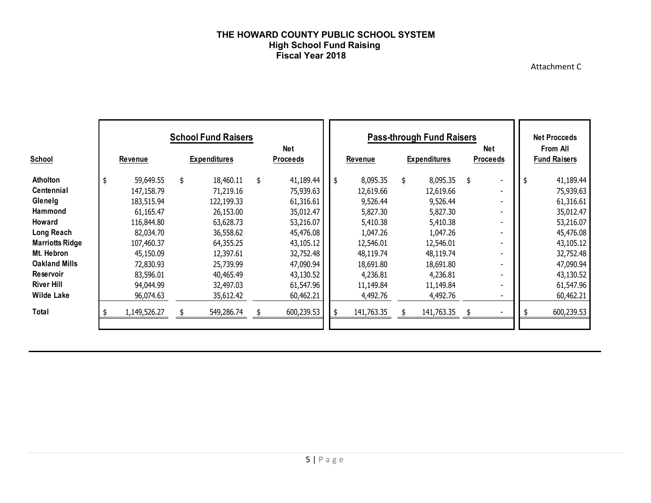#### **THE HOWARD COUNTY PUBLIC SCHOOL SYSTEM High School Fund Raising Fiscal Year 2018**

Attachment C

| <b>School</b>          | <b>School Fund Raisers</b><br>Net<br><b>Expenditures</b><br><b>Proceeds</b><br><b>Revenue</b> |    |            |    |            | <b>Pass-through Fund Raisers</b><br><b>Net</b><br><b>Revenue</b><br><b>Proceeds</b><br><b>Expenditures</b> |            |    |            |    |  |    | <b>Net Procceds</b><br><b>From All</b><br><b>Fund Raisers</b> |
|------------------------|-----------------------------------------------------------------------------------------------|----|------------|----|------------|------------------------------------------------------------------------------------------------------------|------------|----|------------|----|--|----|---------------------------------------------------------------|
| Atholton               | \$<br>59,649.55                                                                               | \$ | 18,460.11  | \$ | 41,189.44  | \$                                                                                                         | 8,095.35   | \$ | 8,095.35   | \$ |  | \$ | 41,189.44                                                     |
| Centennial             | 147,158.79                                                                                    |    | 71,219.16  |    | 75,939.63  |                                                                                                            | 12,619.66  |    | 12,619.66  |    |  |    | 75,939.63                                                     |
| Glenelg                | 183,515.94                                                                                    |    | 122,199.33 |    | 61,316.61  |                                                                                                            | 9,526.44   |    | 9,526.44   |    |  |    | 61,316.61                                                     |
| Hammond                | 61,165.47                                                                                     |    | 26,153.00  |    | 35,012.47  |                                                                                                            | 5,827.30   |    | 5,827.30   |    |  |    | 35,012.47                                                     |
| Howard                 | 116,844.80                                                                                    |    | 63,628.73  |    | 53,216.07  |                                                                                                            | 5,410.38   |    | 5,410.38   |    |  |    | 53,216.07                                                     |
| Long Reach             | 82,034.70                                                                                     |    | 36,558.62  |    | 45,476.08  |                                                                                                            | 1,047.26   |    | 1,047.26   |    |  |    | 45,476.08                                                     |
| <b>Marriotts Ridge</b> | 107,460.37                                                                                    |    | 64,355.25  |    | 43,105.12  |                                                                                                            | 12,546.01  |    | 12,546.01  |    |  |    | 43,105.12                                                     |
| Mt. Hebron             | 45,150.09                                                                                     |    | 12,397.61  |    | 32,752.48  |                                                                                                            | 48,119.74  |    | 48,119.74  |    |  |    | 32,752.48                                                     |
| <b>Oakland Mills</b>   | 72,830.93                                                                                     |    | 25,739.99  |    | 47,090.94  |                                                                                                            | 18,691.80  |    | 18,691.80  |    |  |    | 47,090.94                                                     |
| <b>Reservoir</b>       | 83,596,01                                                                                     |    | 40,465.49  |    | 43,130.52  |                                                                                                            | 4,236.81   |    | 4,236.81   |    |  |    | 43,130.52                                                     |
| <b>River Hill</b>      | 94,044.99                                                                                     |    | 32,497.03  |    | 61,547.96  |                                                                                                            | 11,149.84  |    | 11,149.84  |    |  |    | 61,547.96                                                     |
| <b>Wilde Lake</b>      | 96,074.63                                                                                     |    | 35,612.42  |    | 60,462.21  |                                                                                                            | 4,492.76   |    | 4,492.76   |    |  |    | 60,462.21                                                     |
| Total                  | 1,149,526.27                                                                                  |    | 549,286.74 |    | 600,239.53 |                                                                                                            | 141,763.35 |    | 141,763.35 | -5 |  |    | 600,239.53                                                    |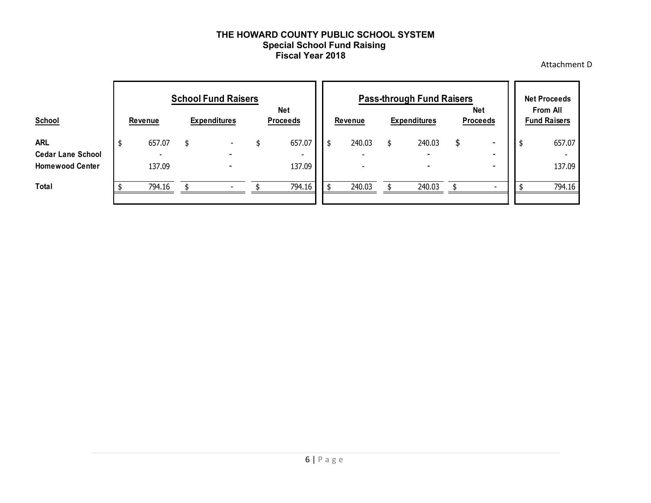#### **THE HOWARD COUNTY PUBLIC SCHOOL SYSTEM Special School Fund Raising Fiscal Year 2018**

Attachment D

| <b>School</b>                          | <b>School Fund Raisers</b><br><b>Net</b><br>Revenue<br><b>Expenditures</b><br><b>Proceeds</b> |        |    |                          |  | <b>Pass-through Fund Raisers</b><br><b>Net</b><br><b>Revenue</b><br><b>Proceeds</b><br><b>Expenditures</b> |     |        |  |        |   | <b>Net Proceeds</b><br><b>From All</b><br><b>Fund Raisers</b> |  |        |  |
|----------------------------------------|-----------------------------------------------------------------------------------------------|--------|----|--------------------------|--|------------------------------------------------------------------------------------------------------------|-----|--------|--|--------|---|---------------------------------------------------------------|--|--------|--|
| <b>ARL</b><br><b>Cedar Lane School</b> |                                                                                               | 657.07 | \$ | $\overline{\phantom{0}}$ |  | 657.07<br>-                                                                                                | -\$ | 240.03 |  | 240.03 | S | -<br>-                                                        |  | 657.07 |  |
| <b>Homewood Center</b>                 |                                                                                               | 137.09 |    | $\overline{\phantom{0}}$ |  | 137.09                                                                                                     |     |        |  | -      |   | ۰                                                             |  | 137.09 |  |
| <b>Total</b>                           |                                                                                               | 794.16 |    |                          |  | 794.16                                                                                                     |     | 240.03 |  | 240.03 |   | $\overline{\phantom{0}}$                                      |  | 794.16 |  |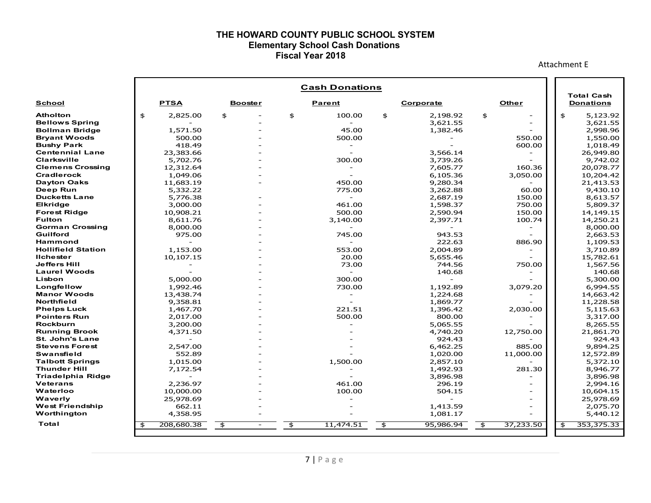#### **THE HOWARD COUNTY PUBLIC SCHOOL SYSTEM Elementary School Cash Donations Fiscal Year 2018**

Attachment E

|                                      |                    |                                | <b>Cash Donations</b>    |                            |                 | <b>Total Cash</b>    |
|--------------------------------------|--------------------|--------------------------------|--------------------------|----------------------------|-----------------|----------------------|
| School                               | <b>PTSA</b>        | <b>Booster</b>                 | Parent                   | Corporate                  | <b>Other</b>    | <b>Donations</b>     |
| <b>Atholton</b>                      | \$<br>2,825.00     | \$                             | \$<br>100.00             | \$<br>2,198.92             | \$              | \$<br>5,123.92       |
| <b>Bellows Spring</b>                |                    |                                |                          | 3,621.55                   |                 | 3,621.55             |
| <b>Bollman Bridge</b>                | 1,571.50           |                                | 45.00                    | 1,382.46                   |                 | 2,998.96             |
| <b>Bryant Woods</b>                  | 500.00             |                                | 500.00                   |                            | 550.00          | 1,550.00             |
| <b>Bushy Park</b>                    | 418.49             |                                |                          |                            | 600.00          | 1,018.49             |
| <b>Centennial Lane</b>               | 23,383.66          |                                |                          | 3,566.14                   |                 | 26,949.80            |
| Clarksville                          | 5,702.76           |                                | 300.00                   | 3,739.26                   |                 | 9,742.02             |
| <b>Clemens Crossing</b>              | 12,312.64          |                                |                          | 7,605.77                   | 160.36          | 20,078.77            |
| Cradlerock                           | 1,049.06           |                                |                          | 6,105.36                   | 3,050.00        | 10,204.42            |
| <b>Dayton Oaks</b>                   | 11,683.19          |                                | 450.00                   | 9,280.34                   |                 | 21,413.53            |
| Deep Run                             | 5,332.22           |                                | 775.00                   | 3,262.88                   | 60.00           | 9,430.10             |
| <b>Ducketts Lane</b>                 | 5,776.38           |                                | $\overline{\phantom{a}}$ | 2,687.19                   | 150.00          | 8,613.57             |
| <b>Elkridge</b>                      | 3,000.00           |                                | 461.00                   | 1,598.37                   | 750.00          | 5,809.37             |
| <b>Forest Ridge</b><br><b>Fulton</b> | 10,908.21          |                                | 500.00                   | 2,590.94                   | 150.00          | 14,149.15            |
| <b>Gorman Crossing</b>               | 8,611.76           |                                | 3,140.00                 | 2,397.71                   | 100.74          | 14,250.21            |
| Guilford                             | 8,000.00<br>975.00 |                                | 745.00                   | 943.53                     |                 | 8,000.00<br>2,663.53 |
| <b>Hammond</b>                       |                    |                                |                          | 222.63                     | 886.90          | 1,109.53             |
| <b>Hollifield Station</b>            | 1,153.00           |                                | 553.00                   | 2,004.89                   |                 | 3,710.89             |
| <b>Ilchester</b>                     | 10,107.15          |                                | 20.00                    | 5,655.46                   |                 | 15,782.61            |
| <b>Jeffers Hill</b>                  |                    |                                | 73.00                    | 744.56                     | 750.00          | 1,567.56             |
| Laurel Woods                         |                    |                                | $\overline{\phantom{0}}$ | 140.68                     |                 | 140.68               |
| Lisbon                               | 5,000.00           |                                | 300.00                   |                            |                 | 5,300.00             |
| Longfellow                           | 1,992.46           |                                | 730.00                   | 1,192.89                   | 3,079.20        | 6,994.55             |
| <b>Manor Woods</b>                   | 13,438.74          |                                | $\overline{\phantom{a}}$ | 1,224.68                   |                 | 14,663.42            |
| Northfield                           | 9,358.81           |                                |                          | 1,869.77                   |                 | 11,228.58            |
| <b>Phelps Luck</b>                   | 1,467.70           |                                | 221.51                   | 1,396.42                   | 2,030.00        | 5,115.63             |
| <b>Pointers Run</b>                  | 2,017.00           |                                | 500.00                   | 800.00                     |                 | 3,317.00             |
| <b>Rockburn</b>                      | 3,200.00           |                                |                          | 5,065.55                   |                 | 8,265.55             |
| <b>Running Brook</b>                 | 4,371.50           |                                |                          | 4,740.20                   | 12,750.00       | 21,861.70            |
| <b>St. John's Lane</b>               |                    |                                |                          | 924.43                     |                 | 924.43               |
| <b>Stevens Forest</b>                | 2,547.00           |                                |                          | 6,462.25                   | 885.00          | 9,894.25             |
| <b>Swansfield</b>                    | 552.89             |                                |                          | 1,020.00                   | 11,000.00       | 12,572.89            |
| <b>Talbott Springs</b>               | 1,015.00           |                                | 1,500.00                 | 2,857.10                   |                 | 5,372.10             |
| <b>Thunder Hill</b>                  | 7,172.54           |                                |                          | 1,492.93                   | 281.30          | 8,946.77             |
| <b>Triadelphia Ridge</b>             |                    |                                |                          | 3,896.98                   |                 | 3,896.98             |
| <b>Veterans</b>                      | 2,236.97           |                                | 461.00                   | 296.19                     |                 | 2,994.16             |
| Waterloo                             | 10,000.00          |                                | 100.00                   | 504.15                     |                 | 10,604.15            |
| Waverly                              | 25,978.69          |                                |                          |                            |                 | 25,978.69            |
| <b>West Friendship</b>               | 662.11             |                                |                          | 1,413.59                   | $\equiv$        | 2,075.70             |
| Worthington                          | 4,358.95           |                                |                          | 1,081.17                   |                 | 5,440.12             |
| Total                                | 208,680.38<br>\$   | \$<br>$\overline{\phantom{a}}$ | \$<br>11,474.51          | $\frac{4}{3}$<br>95,986.94 | 37,233.50<br>\$ | 353,375.33<br>\$     |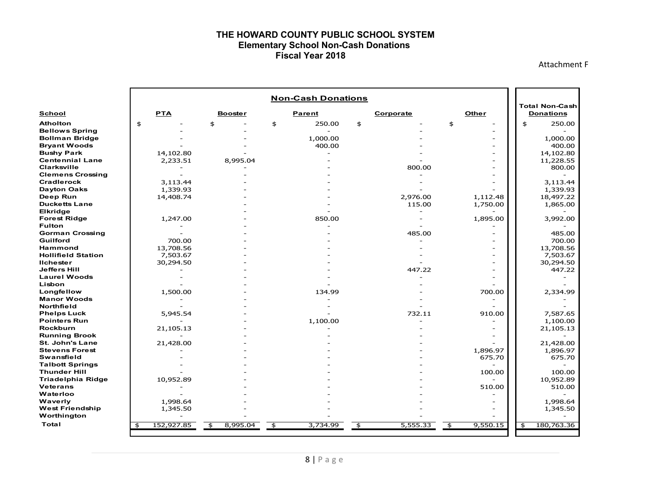#### **THE HOWARD COUNTY PUBLIC SCHOOL SYSTEM Elementary School Non-Cash Donations Fiscal Year 2018**

Attachment F

|                                  |                                  |                | <b>Non-Cash Donations</b> |                          |                |                                           |  |
|----------------------------------|----------------------------------|----------------|---------------------------|--------------------------|----------------|-------------------------------------------|--|
| School                           | <b>PTA</b>                       | <b>Booster</b> | Parent                    | Corporate                | Other          | <b>Total Non-Cash</b><br><b>Donations</b> |  |
| <b>Atholton</b>                  | \$                               | \$             | \$<br>250.00              | \$                       | \$             | \$<br>250.00                              |  |
| <b>Bellows Spring</b>            |                                  |                |                           |                          |                |                                           |  |
| <b>Bollman Bridge</b>            |                                  |                | 1,000.00                  |                          |                | 1,000.00                                  |  |
| <b>Bryant Woods</b>              |                                  |                | 400.00                    |                          |                | 400.00                                    |  |
| <b>Bushy Park</b>                | 14,102.80                        |                |                           |                          |                | 14,102.80                                 |  |
| <b>Centennial Lane</b>           | 2,233.51                         | 8,995.04       |                           |                          |                | 11,228.55                                 |  |
| Clarksville                      |                                  |                |                           | 800.00                   |                | 800.00                                    |  |
| <b>Clemens Crossing</b>          |                                  |                |                           |                          |                |                                           |  |
| <b>Cradlerock</b>                | 3,113.44                         |                |                           |                          |                | 3,113.44                                  |  |
| <b>Dayton Oaks</b>               | 1,339.93                         |                |                           |                          |                | 1,339.93                                  |  |
| Deep Run                         | 14,408.74                        |                |                           | 2,976.00                 | 1,112.48       | 18,497.22                                 |  |
| <b>Ducketts Lane</b><br>Elkridge |                                  |                |                           | 115.00                   | 1,750.00       | 1,865.00                                  |  |
| <b>Forest Ridge</b>              | 1,247.00                         |                | 850.00                    | $\overline{\phantom{a}}$ | 1,895.00       | 3,992.00                                  |  |
| <b>Fulton</b>                    |                                  |                |                           |                          |                |                                           |  |
| <b>Gorman Crossing</b>           |                                  |                |                           | 485.00                   |                | 485.00                                    |  |
| Guilford                         | 700.00                           |                |                           |                          |                | 700.00                                    |  |
| <b>Hammond</b>                   | 13,708.56                        |                |                           |                          |                | 13,708.56                                 |  |
| <b>Hollifield Station</b>        | 7,503.67                         |                |                           |                          |                | 7,503.67                                  |  |
| <b>Ilchester</b>                 | 30,294.50                        |                |                           |                          |                | 30,294.50                                 |  |
| <b>Jeffers Hill</b>              |                                  |                |                           | 447.22                   |                | 447.22                                    |  |
| <b>Laurel Woods</b>              |                                  |                |                           |                          |                |                                           |  |
| Lisbon                           |                                  |                |                           |                          |                |                                           |  |
| Longfellow                       | 1,500.00                         |                | 134.99                    |                          | 700.00         | 2,334.99                                  |  |
| <b>Manor Woods</b>               |                                  |                |                           |                          |                |                                           |  |
| Northfield                       |                                  |                |                           |                          |                |                                           |  |
| <b>Phelps Luck</b>               | 5,945.54                         |                |                           | 732.11                   | 910.00         | 7,587.65                                  |  |
| <b>Pointers Run</b>              |                                  |                | 1,100.00                  |                          |                | 1,100.00                                  |  |
| <b>Rockburn</b>                  | 21,105.13                        |                |                           |                          |                | 21,105.13                                 |  |
| <b>Running Brook</b>             |                                  |                |                           |                          |                |                                           |  |
| <b>St. John's Lane</b>           | 21,428.00                        |                |                           |                          |                | 21,428.00                                 |  |
| <b>Stevens Forest</b>            |                                  |                |                           |                          | 1,896.97       | 1,896.97                                  |  |
| <b>Swansfield</b>                |                                  |                |                           |                          | 675.70         | 675.70                                    |  |
| <b>Talbott Springs</b>           |                                  |                |                           |                          |                |                                           |  |
| <b>Thunder Hill</b>              |                                  |                |                           |                          | 100.00         | 100.00                                    |  |
| <b>Triadelphia Ridge</b>         | 10,952.89                        |                |                           |                          |                | 10,952.89                                 |  |
| <b>Veterans</b>                  |                                  |                |                           |                          | 510.00         | 510.00                                    |  |
| Waterloo                         |                                  |                |                           |                          |                |                                           |  |
| Waverly                          | 1,998.64                         |                |                           |                          |                | 1,998.64                                  |  |
| <b>West Friendship</b>           | 1,345.50                         |                |                           |                          |                | 1,345.50                                  |  |
| Worthington                      |                                  |                |                           |                          |                |                                           |  |
| Total                            | 152,927.85<br>$\mathbf{\hat{z}}$ | 8,995.04<br>\$ | \$<br>3,734.99            | \$<br>5,555.33           | \$<br>9,550.15 | 180,763.36<br>\$                          |  |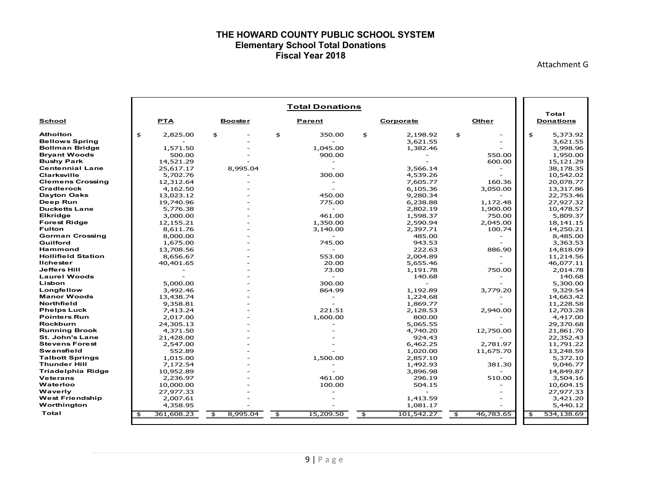#### **THE HOWARD COUNTY PUBLIC SCHOOL SYSTEM Elementary School Total Donations Fiscal Year 2018**

Attachment G

|                           |                                  |                | <b>Total Donations</b>     |                         |            |                 |                           |
|---------------------------|----------------------------------|----------------|----------------------------|-------------------------|------------|-----------------|---------------------------|
| <b>School</b>             | <b>PTA</b>                       | <b>Booster</b> | Parent                     |                         | Corporate  | Other           | Total<br><b>Donations</b> |
| <b>Atholton</b>           | \$<br>2,825.00                   | \$             | \$<br>350.00               | \$                      | 2,198.92   | \$              | \$<br>5,373.92            |
| <b>Bellows Spring</b>     |                                  |                |                            |                         | 3,621.55   |                 | 3,621.55                  |
| <b>Bollman Bridge</b>     | 1,571.50                         |                | 1.045.00                   |                         | 1,382.46   |                 | 3,998.96                  |
| <b>Bryant Woods</b>       | 500.00                           |                | 900.00                     |                         |            | 550.00          | 1,950.00                  |
| <b>Bushy Park</b>         | 14,521.29                        |                | $\blacksquare$             |                         |            | 600.00          | 15,121.29                 |
| <b>Centennial Lane</b>    | 25,617.17                        | 8,995.04       |                            |                         | 3,566.14   |                 | 38,178.35                 |
| Clarksville               | 5,702.76                         |                | 300.00                     |                         | 4,539.26   |                 | 10,542.02                 |
| <b>Clemens Crossing</b>   | 12,312.64                        |                |                            |                         | 7,605.77   | 160.36          | 20,078.77                 |
| Cradlerock                | 4,162.50                         |                |                            |                         | 6,105.36   | 3,050.00        | 13,317.86                 |
| <b>Dayton Oaks</b>        | 13,023.12                        |                | 450.00                     |                         | 9,280.34   |                 | 22,753.46                 |
| Deep Run                  | 19,740.96                        |                | 775.00                     |                         | 6,238.88   | 1,172.48        | 27,927.32                 |
| <b>Ducketts Lane</b>      | 5,776.38                         |                | $\sim$                     |                         | 2,802.19   | 1,900.00        | 10,478.57                 |
| <b>Elkridge</b>           | 3,000.00                         |                | 461.00                     |                         | 1,598.37   | 750.00          | 5,809.37                  |
| <b>Forest Ridge</b>       | 12,155.21                        |                | 1,350.00                   |                         | 2,590.94   | 2,045.00        | 18,141.15                 |
| <b>Fulton</b>             | 8,611.76                         |                | 3,140.00                   |                         | 2,397.71   | 100.74          | 14,250.21                 |
| <b>Gorman Crossing</b>    | 8,000.00                         |                |                            |                         | 485.00     |                 | 8,485.00                  |
| Guilford                  | 1,675.00                         |                | 745.00                     |                         | 943.53     |                 | 3,363.53                  |
| <b>Hammond</b>            | 13,708.56                        |                | $\sim$                     |                         | 222.63     | 886.90          | 14,818.09                 |
| <b>Hollifield Station</b> | 8,656.67                         |                | 553.00                     |                         | 2.004.89   |                 | 11,214.56                 |
| <b>Ilchester</b>          | 40,401.65                        |                | 20.00                      |                         | 5,655.46   |                 | 46,077.11                 |
| <b>Jeffers Hill</b>       |                                  |                | 73.00                      |                         | 1,191.78   | 750.00          | 2,014.78                  |
| <b>Laurel Woods</b>       |                                  |                |                            |                         | 140.68     |                 | 140.68                    |
| Lisbon                    | 5,000.00                         |                | 300.00                     |                         |            |                 | 5,300.00                  |
| Longfellow                | 3,492.46                         |                | 864.99                     |                         | 1,192.89   | 3,779.20        | 9,329.54                  |
| <b>Manor Woods</b>        | 13,438.74                        |                | $\overline{\phantom{a}}$   |                         | 1,224.68   |                 | 14,663.42                 |
| Northfield                | 9,358.81                         |                |                            |                         | 1,869.77   |                 | 11,228.58                 |
| <b>Phelps Luck</b>        | 7.413.24                         |                | 221.51                     |                         | 2,128.53   | 2,940.00        | 12,703.28                 |
| <b>Pointers Run</b>       | 2,017.00                         |                | 1,600.00                   |                         | 800.00     |                 | 4,417.00                  |
| <b>Rockburn</b>           | 24,305.13                        |                |                            |                         | 5,065.55   |                 | 29,370.68                 |
| <b>Running Brook</b>      | 4,371.50                         |                |                            |                         | 4,740.20   | 12,750.00       | 21,861.70                 |
| <b>St. John's Lane</b>    | 21,428.00                        |                |                            |                         | 924.43     |                 | 22,352.43                 |
| <b>Stevens Forest</b>     | 2,547.00                         |                |                            |                         | 6,462.25   | 2,781.97        | 11,791.22                 |
| <b>Swansfield</b>         | 552.89                           |                |                            |                         | 1,020.00   | 11,675.70       | 13,248.59                 |
| <b>Talbott Springs</b>    | 1,015.00                         |                | 1,500.00                   |                         | 2,857.10   |                 | 5,372.10                  |
| <b>Thunder Hill</b>       | 7.172.54                         |                |                            |                         | 1,492.93   | 381.30          | 9.046.77                  |
| <b>Triadelphia Ridge</b>  | 10,952.89                        |                |                            |                         | 3,896.98   |                 | 14,849.87                 |
| <b>Veterans</b>           | 2,236.97                         |                | 461.00                     |                         | 296.19     | 510.00          | 3,504.16                  |
| Waterloo                  | 10,000.00                        |                | 100.00                     |                         | 504.15     |                 | 10,604.15                 |
| Waverly                   | 27,977.33                        |                |                            |                         |            |                 | 27,977.33                 |
| <b>West Friendship</b>    | 2,007.61                         |                |                            |                         | 1,413.59   |                 | 3,421.20                  |
| Worthington               | 4,358.95                         |                |                            |                         | 1,081.17   |                 | 5,440.12                  |
| Total                     | 361,608.23<br>$\mathbf{\hat{z}}$ | 8,995.04<br>\$ | 15,209.50<br>$\frac{4}{5}$ | $\overline{\mathbf{f}}$ | 101,542.27 | 46,783.65<br>\$ | 534,138.69<br>\$          |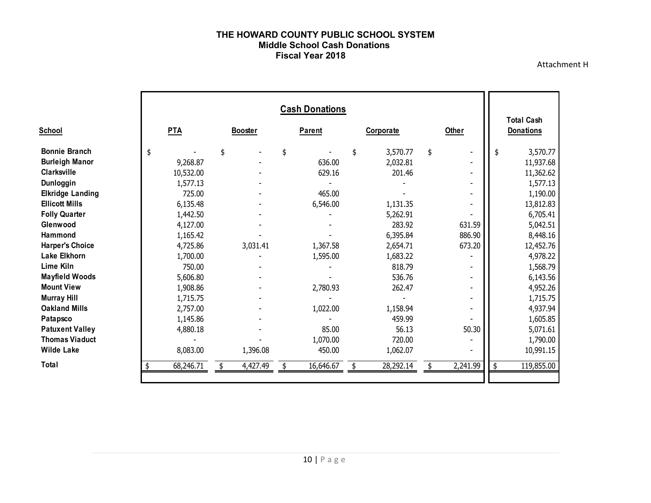#### **THE HOWARD COUNTY PUBLIC SCHOOL SYSTEM Middle School Cash Donations Fiscal Year 2018**

Attachment H

|                         |                 |                | <b>Cash Donations</b> |                |          |                                       |
|-------------------------|-----------------|----------------|-----------------------|----------------|----------|---------------------------------------|
| <b>School</b>           | <b>PTA</b>      | <b>Booster</b> | <b>Parent</b>         | Corporate      | Other    | <b>Total Cash</b><br><b>Donations</b> |
| <b>Bonnie Branch</b>    | \$              | \$             | \$                    | 3,570.77<br>\$ | \$       | \$<br>3,570.77                        |
| <b>Burleigh Manor</b>   | 9,268.87        |                | 636.00                | 2,032.81       |          | 11,937.68                             |
| Clarksville             | 10,532.00       |                | 629.16                | 201.46         |          | 11,362.62                             |
| Dunloggin               | 1,577.13        |                |                       |                |          | 1,577.13                              |
| <b>Elkridge Landing</b> | 725.00          |                | 465.00                |                |          | 1,190.00                              |
| <b>Ellicott Mills</b>   | 6,135.48        |                | 6,546.00              | 1,131.35       |          | 13,812.83                             |
| <b>Folly Quarter</b>    | 1,442.50        |                |                       | 5,262.91       |          | 6,705.41                              |
| Glenwood                | 4,127.00        |                |                       | 283.92         | 631.59   | 5,042.51                              |
| Hammond                 | 1,165.42        |                |                       | 6,395.84       | 886.90   | 8,448.16                              |
| <b>Harper's Choice</b>  | 4,725.86        | 3,031.41       | 1,367.58              | 2,654.71       | 673.20   | 12,452.76                             |
| <b>Lake Elkhorn</b>     | 1,700.00        |                | 1,595.00              | 1,683.22       |          | 4,978.22                              |
| Lime Kiln               | 750.00          |                |                       | 818.79         |          | 1,568.79                              |
| <b>Mayfield Woods</b>   | 5,606.80        |                |                       | 536.76         |          | 6,143.56                              |
| <b>Mount View</b>       | 1,908.86        |                | 2,780.93              | 262.47         |          | 4,952.26                              |
| <b>Murray Hill</b>      | 1,715.75        |                |                       |                |          | 1,715.75                              |
| <b>Oakland Mills</b>    | 2,757.00        |                | 1,022.00              | 1,158.94       |          | 4,937.94                              |
| Patapsco                | 1,145.86        |                |                       | 459.99         |          | 1,605.85                              |
| <b>Patuxent Valley</b>  | 4,880.18        |                | 85.00                 | 56.13          | 50.30    | 5,071.61                              |
| <b>Thomas Viaduct</b>   |                 |                | 1,070.00              | 720.00         |          | 1,790.00                              |
| <b>Wilde Lake</b>       | 8,083.00        | 1,396.08       | 450.00                | 1,062.07       |          | 10,991.15                             |
| Total                   | 68,246.71<br>\$ | 4,427.49       | 16,646.67             | 28,292.14      | 2,241.99 | \$<br>119,855.00                      |
|                         |                 |                |                       |                |          |                                       |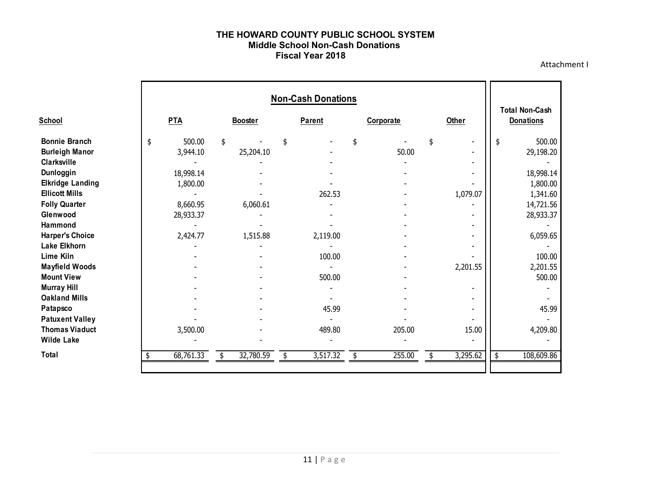#### **THE HOWARD COUNTY PUBLIC SCHOOL SYSTEM Middle School Non-Cash Donations Fiscal Year 2018**

Attachment I

|                                                                                                                                                                                                                                                                                                                                                                                                                            |                                                                                                    |                                         |               | <b>Non-Cash Donations</b>                                 |           |                 |                                     | <b>Total Non-Cash</b>                                                                                                                                     |
|----------------------------------------------------------------------------------------------------------------------------------------------------------------------------------------------------------------------------------------------------------------------------------------------------------------------------------------------------------------------------------------------------------------------------|----------------------------------------------------------------------------------------------------|-----------------------------------------|---------------|-----------------------------------------------------------|-----------|-----------------|-------------------------------------|-----------------------------------------------------------------------------------------------------------------------------------------------------------|
| <b>School</b>                                                                                                                                                                                                                                                                                                                                                                                                              | <b>PTA</b>                                                                                         | <b>Booster</b>                          | <b>Parent</b> |                                                           | Corporate |                 | Other                               | <b>Donations</b>                                                                                                                                          |
| <b>Bonnie Branch</b><br><b>Burleigh Manor</b><br>Clarksville<br>Dunloggin<br><b>Elkridge Landing</b><br><b>Ellicott Mills</b><br><b>Folly Quarter</b><br>Glenwood<br>Hammond<br><b>Harper's Choice</b><br><b>Lake Elkhorn</b><br>Lime Kiln<br><b>Mayfield Woods</b><br><b>Mount View</b><br><b>Murray Hill</b><br><b>Oakland Mills</b><br>Patapsco<br><b>Patuxent Valley</b><br><b>Thomas Viaduct</b><br><b>Wilde Lake</b> | \$<br>500.00<br>3,944.10<br>18,998.14<br>1,800.00<br>8,660.95<br>28,933.37<br>2,424.77<br>3,500.00 | \$<br>25,204.10<br>6,060.61<br>1,515.88 | \$            | 262.53<br>2,119.00<br>100.00<br>500.00<br>45.99<br>489.80 | \$        | 50.00<br>205.00 | \$<br>1,079.07<br>2,201.55<br>15.00 | \$<br>500.00<br>29,198.20<br>18,998.14<br>1,800.00<br>1,341.60<br>14,721.56<br>28,933.37<br>6,059.65<br>100.00<br>2,201.55<br>500.00<br>45.99<br>4,209.80 |
| Total                                                                                                                                                                                                                                                                                                                                                                                                                      | 68,761.33                                                                                          | \$<br>32,780.59                         | \$            | 3,517.32                                                  |           | 255.00          | \$<br>3,295.62                      | \$<br>108,609.86                                                                                                                                          |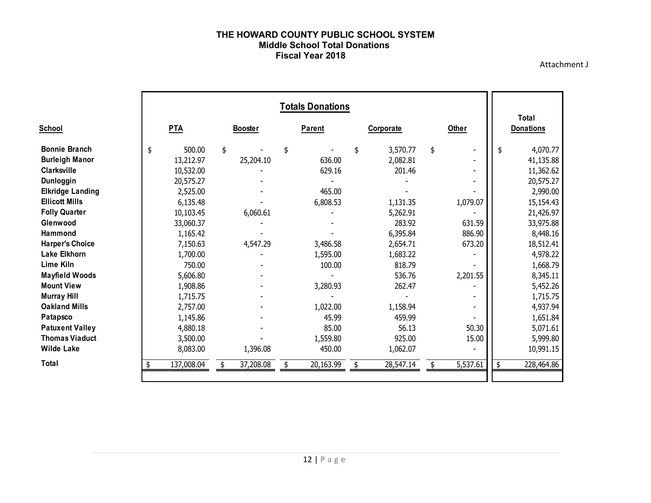#### **THE HOWARD COUNTY PUBLIC SCHOOL SYSTEM Middle School Total Donations Fiscal Year 2018**

Attachment J

|                         |                  |                |               | <b>Totals Donations</b> |           |           |              |          |                           |
|-------------------------|------------------|----------------|---------------|-------------------------|-----------|-----------|--------------|----------|---------------------------|
| <b>School</b>           | PTA              | <b>Booster</b> | <b>Parent</b> |                         | Corporate |           | <b>Other</b> |          | Total<br><b>Donations</b> |
| <b>Bonnie Branch</b>    | \$<br>500.00     | \$             | \$            |                         | \$        | 3,570.77  | \$           |          | \$<br>4,070.77            |
| <b>Burleigh Manor</b>   | 13,212.97        | 25,204.10      |               | 636.00                  |           | 2,082.81  |              |          | 41,135.88                 |
| <b>Clarksville</b>      | 10,532.00        |                |               | 629.16                  |           | 201.46    |              |          | 11,362.62                 |
| Dunloggin               | 20,575.27        |                |               |                         |           |           |              |          | 20,575.27                 |
| <b>Elkridge Landing</b> | 2,525.00         |                |               | 465.00                  |           |           |              |          | 2,990.00                  |
| <b>Ellicott Mills</b>   | 6,135.48         |                |               | 6,808.53                |           | 1,131.35  |              | 1,079.07 | 15,154.43                 |
| <b>Folly Quarter</b>    | 10,103.45        | 6,060.61       |               |                         |           | 5,262.91  |              |          | 21,426.97                 |
| Glenwood                | 33,060.37        |                |               |                         |           | 283.92    |              | 631.59   | 33,975.88                 |
| Hammond                 | 1,165.42         |                |               |                         |           | 6,395.84  |              | 886.90   | 8,448.16                  |
| <b>Harper's Choice</b>  | 7,150.63         | 4,547.29       |               | 3,486.58                |           | 2,654.71  |              | 673.20   | 18,512.41                 |
| Lake Elkhorn            | 1,700.00         |                |               | 1,595.00                |           | 1,683.22  |              |          | 4,978.22                  |
| <b>Lime Kiln</b>        | 750.00           |                |               | 100.00                  |           | 818.79    |              |          | 1,668.79                  |
| <b>Mayfield Woods</b>   | 5,606.80         |                |               |                         |           | 536.76    |              | 2,201.55 | 8,345.11                  |
| <b>Mount View</b>       | 1,908.86         |                |               | 3,280.93                |           | 262.47    |              |          | 5,452.26                  |
| <b>Murray Hill</b>      | 1,715.75         |                |               |                         |           |           |              |          | 1,715.75                  |
| <b>Oakland Mills</b>    | 2,757.00         |                |               | 1,022.00                |           | 1,158.94  |              |          | 4,937.94                  |
| Patapsco                | 1,145.86         |                |               | 45.99                   |           | 459.99    |              |          | 1,651.84                  |
| <b>Patuxent Valley</b>  | 4,880.18         |                |               | 85.00                   |           | 56.13     |              | 50.30    | 5,071.61                  |
| <b>Thomas Viaduct</b>   | 3,500.00         |                |               | 1,559.80                |           | 925.00    |              | 15.00    | 5,999.80                  |
| <b>Wilde Lake</b>       | 8,083.00         | 1,396.08       |               | 450.00                  |           | 1,062.07  |              |          | 10,991.15                 |
| Total                   | \$<br>137,008.04 | 37,208.08      |               | 20,163.99               |           | 28,547.14 |              | 5,537.61 | \$<br>228,464.86          |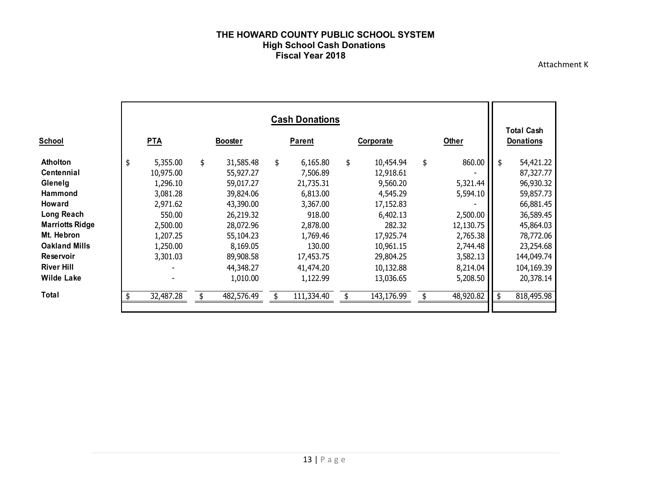#### **THE HOWARD COUNTY PUBLIC SCHOOL SYSTEM High School Cash Donations Fiscal Year 2018**

Attachment K

|                                                                                                                                                                                                           |                                                                                                                           |                                                                                                                                                  | <b>Cash Donations</b>                                                                                                                 |                                                                                                                                             |                                                                                                               |      | <b>Total Cash</b>                                                                                                                             |
|-----------------------------------------------------------------------------------------------------------------------------------------------------------------------------------------------------------|---------------------------------------------------------------------------------------------------------------------------|--------------------------------------------------------------------------------------------------------------------------------------------------|---------------------------------------------------------------------------------------------------------------------------------------|---------------------------------------------------------------------------------------------------------------------------------------------|---------------------------------------------------------------------------------------------------------------|------|-----------------------------------------------------------------------------------------------------------------------------------------------|
| <b>School</b>                                                                                                                                                                                             | <b>PTA</b>                                                                                                                | <b>Booster</b>                                                                                                                                   | <b>Parent</b>                                                                                                                         | Corporate                                                                                                                                   | Other                                                                                                         |      | <b>Donations</b>                                                                                                                              |
| <b>Atholton</b><br><b>Centennial</b><br>Glenelg<br><b>Hammond</b><br><b>Howard</b><br>Long Reach<br><b>Marriotts Ridge</b><br>Mt. Hebron<br><b>Oakland Mills</b><br><b>Reservoir</b><br><b>River Hill</b> | \$<br>5,355.00<br>10,975.00<br>1,296.10<br>3,081.28<br>2,971.62<br>550.00<br>2,500.00<br>1,207.25<br>1,250.00<br>3,301.03 | \$<br>31,585.48<br>55,927.27<br>59,017.27<br>39,824.06<br>43,390.00<br>26,219.32<br>28,072.96<br>55,104.23<br>8,169.05<br>89,908.58<br>44,348.27 | \$<br>6,165.80<br>7,506.89<br>21,735.31<br>6,813.00<br>3,367.00<br>918.00<br>2,878.00<br>1,769.46<br>130.00<br>17,453.75<br>41,474.20 | \$<br>10,454.94<br>12,918.61<br>9,560.20<br>4,545.29<br>17,152.83<br>6,402.13<br>282.32<br>17,925.74<br>10,961.15<br>29,804.25<br>10,132.88 | \$<br>860.00<br>5,321.44<br>5,594.10<br>2,500.00<br>12,130.75<br>2,765.38<br>2,744.48<br>3,582.13<br>8,214.04 |      | 54,421.22<br>87,327.77<br>96,930.32<br>59,857.73<br>66,881.45<br>36,589.45<br>45,864.03<br>78,772.06<br>23,254.68<br>144,049.74<br>104,169.39 |
| <b>Wilde Lake</b>                                                                                                                                                                                         |                                                                                                                           | 1,010.00                                                                                                                                         | 1,122.99                                                                                                                              | 13,036.65                                                                                                                                   | 5,208.50                                                                                                      |      | 20,378.14                                                                                                                                     |
| Total                                                                                                                                                                                                     | 32,487.28                                                                                                                 | 482,576.49                                                                                                                                       | 111,334.40                                                                                                                            | 143,176.99                                                                                                                                  | 48,920.82                                                                                                     | - \$ | 818,495.98                                                                                                                                    |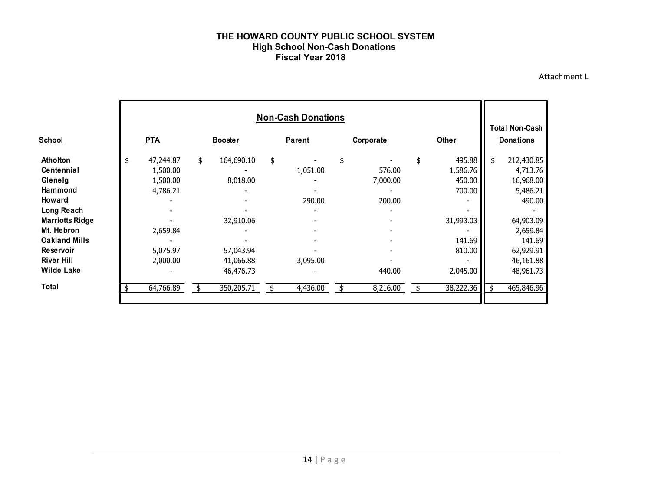#### **THE HOWARD COUNTY PUBLIC SCHOOL SYSTEM High School Non-Cash Donations Fiscal Year 2018**

Attachment L

|                                                                                                                            | <b>Non-Cash Donations</b> |                                               |    |                                                   |    |                      |    |                              |    |                                                     |    |                                                                         |
|----------------------------------------------------------------------------------------------------------------------------|---------------------------|-----------------------------------------------|----|---------------------------------------------------|----|----------------------|----|------------------------------|----|-----------------------------------------------------|----|-------------------------------------------------------------------------|
| <b>School</b>                                                                                                              |                           | <b>PTA</b>                                    |    | <b>Booster</b>                                    |    | <b>Parent</b>        |    | Corporate                    |    | Other                                               |    | <b>Donations</b>                                                        |
| <b>Atholton</b><br><b>Centennial</b><br>Glenelg<br><b>Hammond</b><br><b>Howard</b><br>Long Reach<br><b>Marriotts Ridge</b> | \$                        | 47,244.87<br>1,500.00<br>1,500.00<br>4,786.21 | \$ | 164,690.10<br>8,018.00<br>32,910.06               | \$ | 1,051.00<br>290.00   | \$ | 576.00<br>7,000.00<br>200.00 | \$ | 495.88<br>1,586.76<br>450.00<br>700.00<br>31,993.03 | \$ | 212,430.85<br>4,713.76<br>16,968.00<br>5,486.21<br>490.00<br>64,903.09  |
| Mt. Hebron<br><b>Oakland Mills</b><br>Reservoir<br><b>River Hill</b><br><b>Wilde Lake</b><br>Total                         |                           | 2,659.84<br>5,075.97<br>2,000.00<br>64,766.89 |    | 57,043.94<br>41,066.88<br>46,476.73<br>350,205.71 |    | 3,095.00<br>4,436.00 |    | 440.00<br>8,216.00           |    | 141.69<br>810.00<br>2,045.00<br>38,222.36           | \$ | 2,659.84<br>141.69<br>62,929.91<br>46,161.88<br>48,961.73<br>465,846.96 |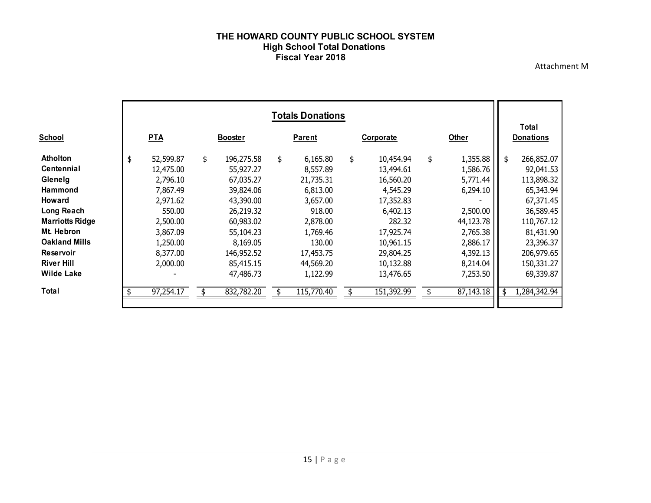#### **THE HOWARD COUNTY PUBLIC SCHOOL SYSTEM High School Total Donations Fiscal Year 2018**

Attachment M

|                                                                                                                                                                                                                                | <b>Totals Donations</b> |                                                                                                                                  |    |                                                                                                                                                           |    |                                                                                                                                             |    |                                                                                                                                                     |    |                                                                                                                                   |    |                                                                                                                                                               |  |
|--------------------------------------------------------------------------------------------------------------------------------------------------------------------------------------------------------------------------------|-------------------------|----------------------------------------------------------------------------------------------------------------------------------|----|-----------------------------------------------------------------------------------------------------------------------------------------------------------|----|---------------------------------------------------------------------------------------------------------------------------------------------|----|-----------------------------------------------------------------------------------------------------------------------------------------------------|----|-----------------------------------------------------------------------------------------------------------------------------------|----|---------------------------------------------------------------------------------------------------------------------------------------------------------------|--|
| <b>School</b>                                                                                                                                                                                                                  |                         | <b>PTA</b>                                                                                                                       |    | <b>Booster</b>                                                                                                                                            |    | <b>Parent</b>                                                                                                                               |    | Corporate                                                                                                                                           |    | Other                                                                                                                             |    | Total<br><b>Donations</b>                                                                                                                                     |  |
| <b>Atholton</b><br><b>Centennial</b><br>Glenelg<br><b>Hammond</b><br><b>Howard</b><br>Long Reach<br><b>Marriotts Ridge</b><br>Mt. Hebron<br><b>Oakland Mills</b><br><b>Reservoir</b><br><b>River Hill</b><br><b>Wilde Lake</b> | \$                      | 52,599.87<br>12,475.00<br>2,796.10<br>7,867.49<br>2,971.62<br>550.00<br>2,500.00<br>3,867.09<br>1,250.00<br>8,377.00<br>2,000.00 | \$ | 196,275.58<br>55,927.27<br>67,035.27<br>39,824.06<br>43,390.00<br>26,219.32<br>60,983.02<br>55,104.23<br>8,169.05<br>146,952.52<br>85,415.15<br>47,486.73 | \$ | 6,165.80<br>8,557.89<br>21,735.31<br>6,813.00<br>3,657.00<br>918.00<br>2,878.00<br>1,769.46<br>130.00<br>17,453.75<br>44,569.20<br>1,122.99 | \$ | 10,454.94<br>13,494.61<br>16,560.20<br>4,545.29<br>17,352.83<br>6,402.13<br>282.32<br>17,925.74<br>10,961.15<br>29,804.25<br>10,132.88<br>13,476.65 | \$ | 1,355.88<br>1,586.76<br>5,771.44<br>6,294.10<br>2,500.00<br>44,123.78<br>2,765.38<br>2,886.17<br>4,392.13<br>8,214.04<br>7,253.50 | \$ | 266,852.07<br>92,041.53<br>113,898.32<br>65,343.94<br>67,371.45<br>36,589.45<br>110,767.12<br>81,431.90<br>23,396.37<br>206,979.65<br>150,331.27<br>69,339.87 |  |
| Total                                                                                                                                                                                                                          |                         | 97,254.17                                                                                                                        |    | 832,782.20                                                                                                                                                |    | 115,770.40                                                                                                                                  |    | 151,392.99                                                                                                                                          |    | 87,143.18                                                                                                                         | \$ | 1,284,342.94                                                                                                                                                  |  |